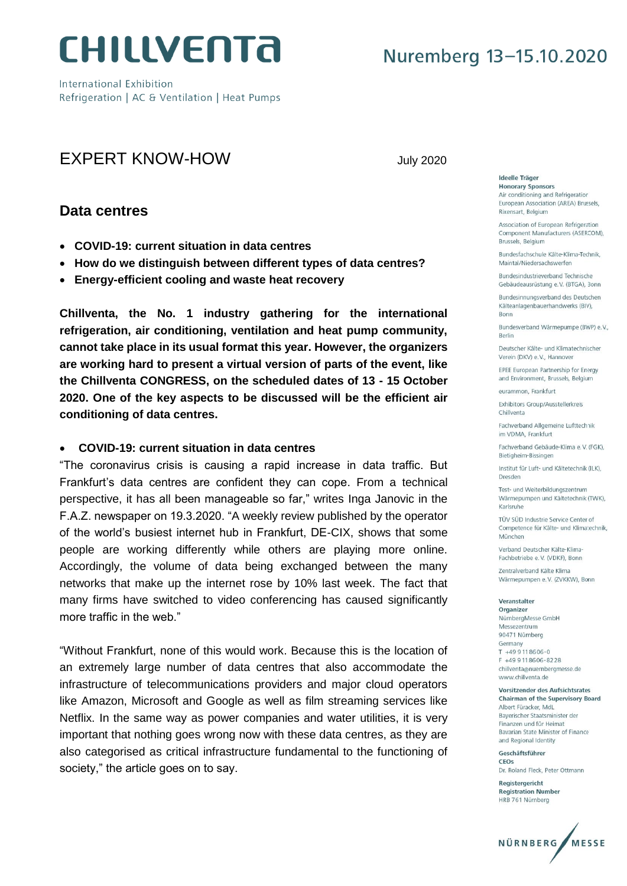

International Exhibition Refrigeration | AC & Ventilation | Heat Pumps

### EXPERT KNOW-HOW **Internal COVID-10** July 2020

### **Data centres**

- **COVID-19: current situation in data centres**
- **How do we distinguish between different types of data centres?**
- **Energy-efficient cooling and waste heat recovery**

**Chillventa, the No. 1 industry gathering for the international refrigeration, air conditioning, ventilation and heat pump community, cannot take place in its usual format this year. However, the organizers are working hard to present a virtual version of parts of the event, like the Chillventa CONGRESS, on the scheduled dates of 13 - 15 October 2020. One of the key aspects to be discussed will be the efficient air conditioning of data centres.** 

#### **COVID-19: current situation in data centres**

"The coronavirus crisis is causing a rapid increase in data traffic. But Frankfurt's data centres are confident they can cope. From a technical perspective, it has all been manageable so far," writes Inga Janovic in the F.A.Z. newspaper on 19.3.2020. "A weekly review published by the operator of the world's busiest internet hub in Frankfurt, DE-CIX, shows that some people are working differently while others are playing more online. Accordingly, the volume of data being exchanged between the many networks that make up the internet rose by 10% last week. The fact that many firms have switched to video conferencing has caused significantly more traffic in the web."

"Without Frankfurt, none of this would work. Because this is the location of an extremely large number of data centres that also accommodate the infrastructure of telecommunications providers and major cloud operators like Amazon, Microsoft and Google as well as film streaming services like Netflix. In the same way as power companies and water utilities, it is very important that nothing goes wrong now with these data centres, as they are also categorised as critical infrastructure fundamental to the functioning of society," the article goes on to say.

**Ideelle Träger Honorary Sponsors** Air conditioning and Refrigeration European Association (AREA) Brussels,

Rixensart, Belgium

Association of European Refrigeration Component Manufacturers (ASERCOM), Brussels, Belgium

Bundesfachschule Kälte-Klima-Technik. Maintal/Niedersachswerfen

Bundesindustrieverband Technische Gebäudeausrüstung e.V. (BTGA), Bonn

Bundesinnungsverband des Deutschen Kälteanlagenbauerhandwerks (BIV), Bonn

Bundesverband Wärmepumpe (BWP) e.V., **Rerlin** 

Deutscher Kälte- und Klimatechnischer Verein (DKV) e.V., Hannover

EPEE European Partnership for Energy and Environment, Brussels, Belgium

eurammon, Frankfurt

Exhibitors Group/Ausstellerkreis Chillyenta

Fachverband Allgemeine Lufttechnik im VDMA, Frankfurt

Fachverband Gebäude-Klima e.V. (FGK). Bietigheim-Bissingen

Institut für Luft- und Kältetechnik (ILK). Dresden

Test- und Weiterbildungszentrum Wärmepumpen und Kältetechnik (TWK), Karlsruhe

TÜV SÜD Industrie Service Center of Competence für Kälte- und Klimatechnik, München

Verband Deutscher Kälte-Klima-Fachbetriebe e.V. (VDKF), Bonn

Zentralverband Kälte Klima Wärmepumpen e.V. (ZVKKW), Bonn

#### Veranstalter

Organizer NürnbergMesse GmbH Messezentrum 90471 Nürnberg Germany T +49 9118606-0 F +49 9118606-8228 chillventa@nuernbergmesse.de www.chillventa.de

Vorsitzender des Aufsichtsrates Chairman of the Supervisory Board

Albert Füracker, MdL Bayerischer Staatsminister der Finanzen und für Heimat Bavarian State Minister of Finance and Regional Identity

Geschäftsführer CEOs

Dr. Roland Fleck, Peter Ottmann Registergericht

**Registration Number** HRB 761 Nürnberg

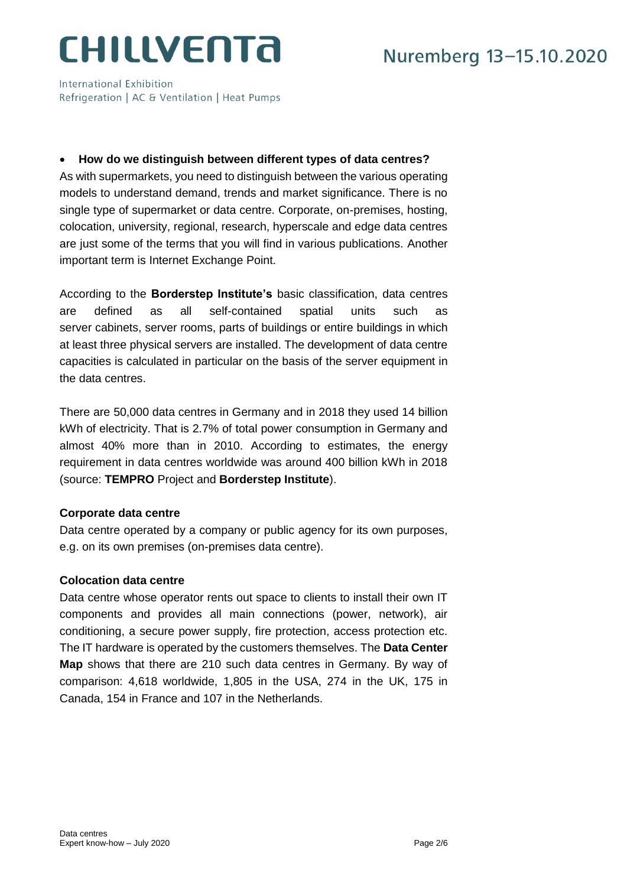International Exhibition Refrigeration | AC & Ventilation | Heat Pumps

### **How do we distinguish between different types of data centres?**

As with supermarkets, you need to distinguish between the various operating models to understand demand, trends and market significance. There is no single type of supermarket or data centre. Corporate, on-premises, hosting, colocation, university, regional, research, hyperscale and edge data centres are just some of the terms that you will find in various publications. Another important term is Internet Exchange Point.

According to the **Borderstep Institute's** basic classification, data centres are defined as all self-contained spatial units such as server cabinets, server rooms, parts of buildings or entire buildings in which at least three physical servers are installed. The development of data centre capacities is calculated in particular on the basis of the server equipment in the data centres.

There are 50,000 data centres in Germany and in 2018 they used 14 billion kWh of electricity. That is 2.7% of total power consumption in Germany and almost 40% more than in 2010. According to estimates, the energy requirement in data centres worldwide was around 400 billion kWh in 2018 (source: **TEMPRO** Project and **Borderstep Institute**).

#### **Corporate data centre**

Data centre operated by a company or public agency for its own purposes, e.g. on its own premises (on-premises data centre).

#### **Colocation data centre**

Data centre whose operator rents out space to clients to install their own IT components and provides all main connections (power, network), air conditioning, a secure power supply, fire protection, access protection etc. The IT hardware is operated by the customers themselves. The **Data Center Map** shows that there are 210 such data centres in Germany. By way of comparison: 4,618 worldwide, 1,805 in the USA, 274 in the UK, 175 in Canada, 154 in France and 107 in the Netherlands.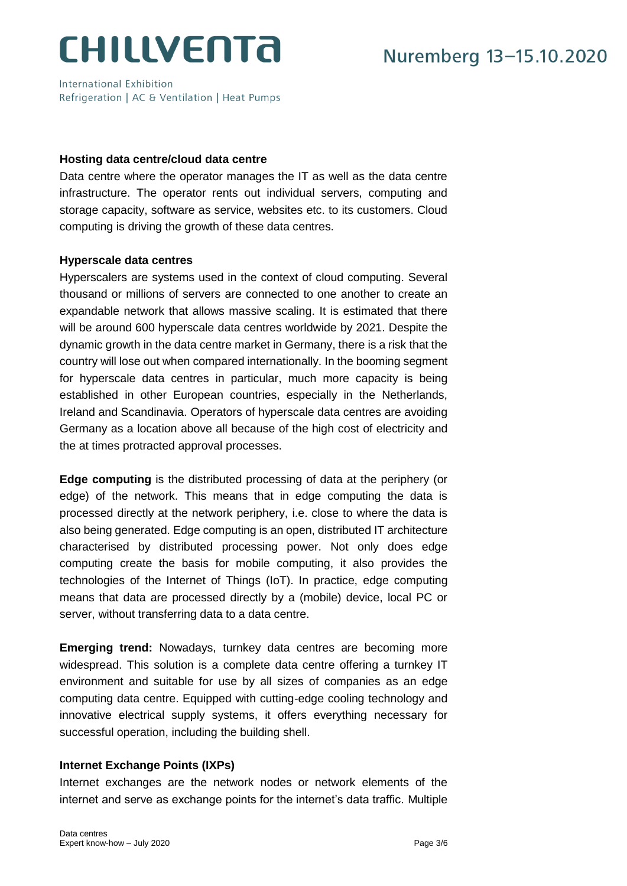International Exhibition Refrigeration | AC & Ventilation | Heat Pumps

#### **Hosting data centre/cloud data centre**

Data centre where the operator manages the IT as well as the data centre infrastructure. The operator rents out individual servers, computing and storage capacity, software as service, websites etc. to its customers. Cloud computing is driving the growth of these data centres.

#### **Hyperscale data centres**

Hyperscalers are systems used in the context of cloud computing. Several thousand or millions of servers are connected to one another to create an expandable network that allows massive scaling. It is estimated that there will be around 600 hyperscale data centres worldwide by 2021. Despite the dynamic growth in the data centre market in Germany, there is a risk that the country will lose out when compared internationally. In the booming segment for hyperscale data centres in particular, much more capacity is being established in other European countries, especially in the Netherlands, Ireland and Scandinavia. Operators of hyperscale data centres are avoiding Germany as a location above all because of the high cost of electricity and the at times protracted approval processes.

**Edge computing** is the distributed processing of data at the periphery (or edge) of the network. This means that in edge computing the data is processed directly at the network periphery, i.e. close to where the data is also being generated. Edge computing is an open, distributed IT architecture characterised by distributed processing power. Not only does edge computing create the basis for mobile computing, it also provides the technologies of the Internet of Things (IoT). In practice, edge computing means that data are processed directly by a (mobile) device, local PC or server, without transferring data to a data centre.

**Emerging trend:** Nowadays, turnkey data centres are becoming more widespread. This solution is a complete data centre offering a turnkey IT environment and suitable for use by all sizes of companies as an edge computing data centre. Equipped with cutting-edge cooling technology and innovative electrical supply systems, it offers everything necessary for successful operation, including the building shell.

#### **Internet Exchange Points (IXPs)**

Internet exchanges are the network nodes or network elements of the internet and serve as exchange points for the internet's data traffic. Multiple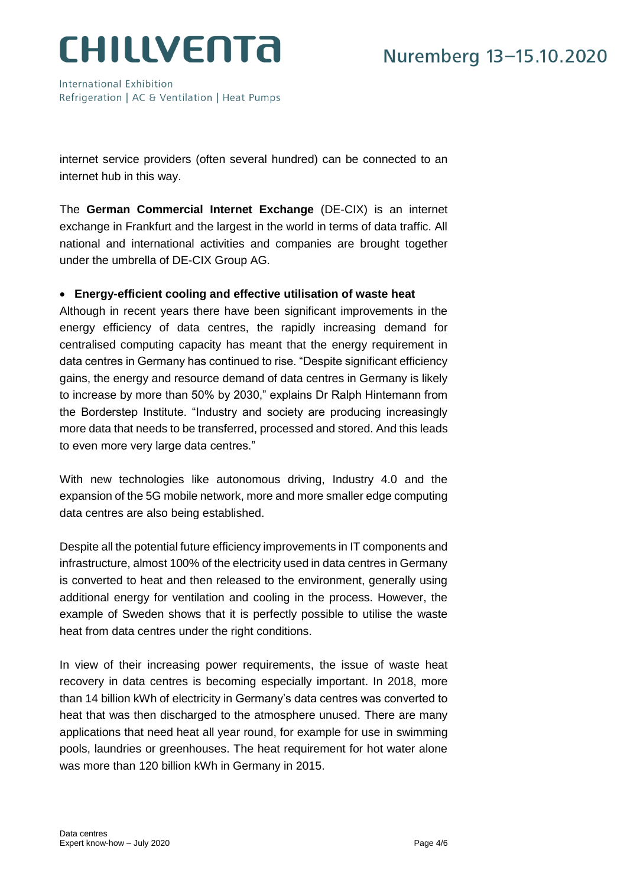International Exhibition Refrigeration | AC & Ventilation | Heat Pumps

internet service providers (often several hundred) can be connected to an internet hub in this way.

The **German Commercial Internet Exchange** (DE-CIX) is an internet exchange in Frankfurt and the largest in the world in terms of data traffic. All national and international activities and companies are brought together under the umbrella of DE-CIX Group AG.

#### **Energy-efficient cooling and effective utilisation of waste heat**

Although in recent years there have been significant improvements in the energy efficiency of data centres, the rapidly increasing demand for centralised computing capacity has meant that the energy requirement in data centres in Germany has continued to rise. "Despite significant efficiency gains, the energy and resource demand of data centres in Germany is likely to increase by more than 50% by 2030," explains Dr Ralph Hintemann from the Borderstep Institute. "Industry and society are producing increasingly more data that needs to be transferred, processed and stored. And this leads to even more very large data centres."

With new technologies like autonomous driving, Industry 4.0 and the expansion of the 5G mobile network, more and more smaller edge computing data centres are also being established.

Despite all the potential future efficiency improvements in IT components and infrastructure, almost 100% of the electricity used in data centres in Germany is converted to heat and then released to the environment, generally using additional energy for ventilation and cooling in the process. However, the example of Sweden shows that it is perfectly possible to utilise the waste heat from data centres under the right conditions.

In view of their increasing power requirements, the issue of waste heat recovery in data centres is becoming especially important. In 2018, more than 14 billion kWh of electricity in Germany's data centres was converted to heat that was then discharged to the atmosphere unused. There are many applications that need heat all year round, for example for use in swimming pools, laundries or greenhouses. The heat requirement for hot water alone was more than 120 billion kWh in Germany in 2015.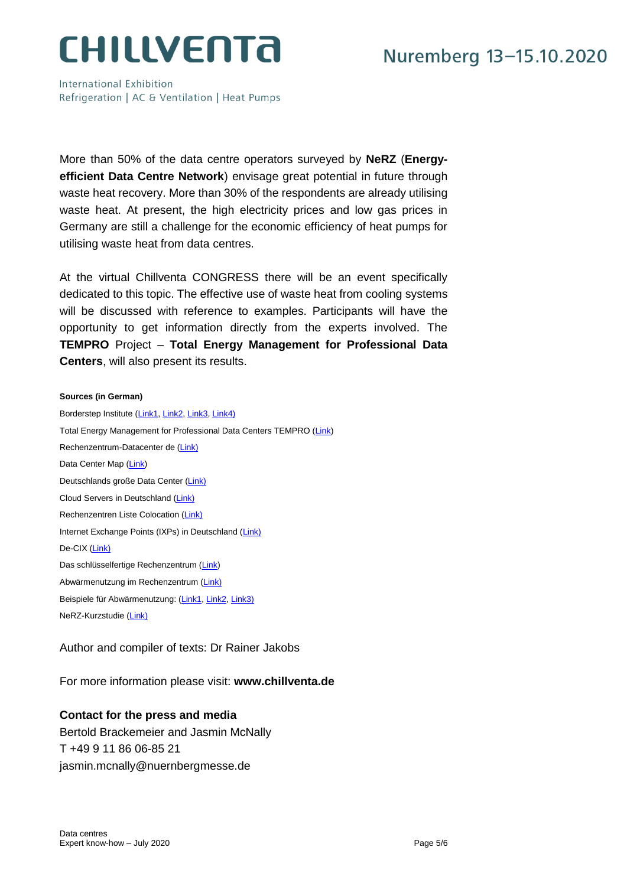International Exhibition Refrigeration | AC & Ventilation | Heat Pumps

More than 50% of the data centre operators surveyed by **NeRZ** (**Energyefficient Data Centre Network**) envisage great potential in future through waste heat recovery. More than 30% of the respondents are already utilising waste heat. At present, the high electricity prices and low gas prices in Germany are still a challenge for the economic efficiency of heat pumps for utilising waste heat from data centres.

At the virtual Chillventa CONGRESS there will be an event specifically dedicated to this topic. The effective use of waste heat from cooling systems will be discussed with reference to examples. Participants will have the opportunity to get information directly from the experts involved. The **TEMPRO** Project – **Total Energy Management for Professional Data Centers**, will also present its results.

#### **Sources (in German)**

Borderstep Institute [\(Link1,](https://www.borderstep.de/wp-content/uploads/2017/03/Borderstep_Rechenzentren_2016_Stand_07_03_2017_finaln-1.pdf) [Link2,](https://www.borderstep.de/wp-content/uploads/2018/12/Borderstep-Rechenzentren-2017-final-Stand-Dez_2018n.pdf) [Link3,](https://www.datacenter-insider.de/energiebedarf-der-rechenzentren-in-deutschland-steigt-weiter-an-a-886887/) [Link4\)](https://www.borderstep.de/wp-content/uploads/2020/03/Borderstep-Rechenzentren-2018-20200327rev.pdf) Total Energy Management for Professional Data Centers TEMPRO [\(Link\)](https://tempro-energy.de/) Rechenzentrum-Datacenter de [\(Link\)](http://www.rechenzentrum-datacenter.de/) Data Center Map [\(Link\)](https://www.datacentermap.com/) Deutschlands große Data Center [\(Link\)](https://www.drweb.de/10-groessten-rechenzentren-deutschlands/) Cloud Servers in Deutschland [\(Link\)](http://www.rechenzentrum-datacenter.de/cloud.html) Rechenzentren Liste Colocation [\(Link\)](http://www.rechenzentrum-datacenter.de/) Internet Exchange Points (IXPs) in Deutschland [\(Link\)](http://www.rechenzentrum-datacenter.de/internet-exchanges.html) De-CIX [\(Link\)](https://www.de-cix.net/de) Das schlüsselfertige Rechenzentrum [\(Link\)](https://private-datacenter.de/) Abwärmenutzung im Rechenzentrum [\(Link\)](https://www.eco.de/themen/datacenter/whitepaper-abwaermenutzung-im-rechenzentrum/) Beispiele für Abwärmenutzung: [\(Link1,](https://www.datacenter-insider.de/fortum-kauft-abwaerme-von-schwedischem-rechenzentrum-a-528335/) [Link2,](https://www.datacenter-insider.de/cloudheat-uebernimmtehemaliges-rechenzentrum-der-ezb-in-frankfurt-a-613373/) [Link3\)](https://www.ttd.tu-darmstadt.de/ttd/aktuelles_7/archiv_9/archiv__details_264064.de.jsp) NeRZ-Kurzstudie [\(Link\)](https://www.borderstep.de/wp-content/uploads/2017/07/NeRZ-Kurzstudie-Stand-20180327.pdf)

Author and compiler of texts: Dr Rainer Jakobs

For more information please visit: **www.chillventa.de**

#### **Contact for the press and media**

Bertold Brackemeier and Jasmin McNally T +49 9 11 86 06-85 21 jasmin.mcnally@nuernbergmesse.de